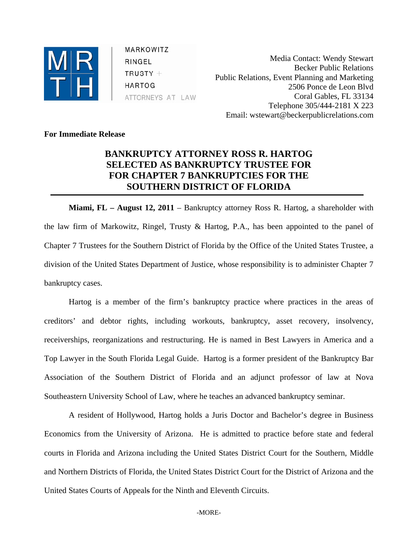

MARKOWITZ RINGEL  $TRUSTY +$ **HARTOG** ATTORNEYS AT LAW

Media Contact: Wendy Stewart Becker Public Relations Public Relations, Event Planning and Marketing 2506 Ponce de Leon Blvd Coral Gables, FL 33134 Telephone 305/444-2181 X 223 Email: wstewart@beckerpublicrelations.com

**For Immediate Release** 

## **BANKRUPTCY ATTORNEY ROSS R. HARTOG SELECTED AS BANKRUPTCY TRUSTEE FOR FOR CHAPTER 7 BANKRUPTCIES FOR THE SOUTHERN DISTRICT OF FLORIDA**

**Miami, FL – August 12, 2011** – Bankruptcy attorney Ross R. Hartog, a shareholder with the law firm of Markowitz, Ringel, Trusty & Hartog, P.A., has been appointed to the panel of Chapter 7 Trustees for the Southern District of Florida by the Office of the United States Trustee, a division of the United States Department of Justice, whose responsibility is to administer Chapter 7 bankruptcy cases.

Hartog is a member of the firm's bankruptcy practice where practices in the areas of creditors' and debtor rights, including workouts, bankruptcy, asset recovery, insolvency, receiverships, reorganizations and restructuring. He is named in Best Lawyers in America and a Top Lawyer in the South Florida Legal Guide. Hartog is a former president of the Bankruptcy Bar Association of the Southern District of Florida and an adjunct professor of law at Nova Southeastern University School of Law, where he teaches an advanced bankruptcy seminar.

A resident of Hollywood, Hartog holds a Juris Doctor and Bachelor's degree in Business Economics from the University of Arizona. He is admitted to practice before state and federal courts in Florida and Arizona including the United States District Court for the Southern, Middle and Northern Districts of Florida, the United States District Court for the District of Arizona and the United States Courts of Appeals for the Ninth and Eleventh Circuits.